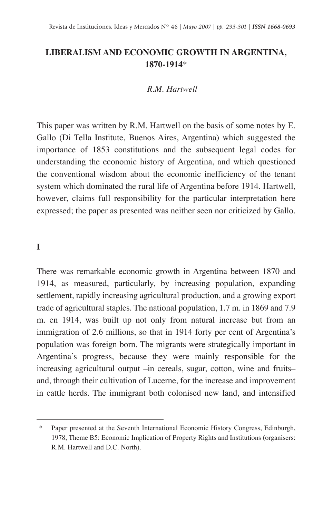# **LIBERALISM AND ECONOMIC GROWTH IN ARGENTINA, 1870-1914**\*

#### *R.M. Hartwell*

This paper was written by R.M. Hartwell on the basis of some notes by E. Gallo (Di Tella Institute, Buenos Aires, Argentina) which suggested the importance of 1853 constitutions and the subsequent legal codes for understanding the economic history of Argentina, and which questioned the conventional wisdom about the economic inefficiency of the tenant system which dominated the rural life of Argentina before 1914. Hartwell, however, claims full responsibility for the particular interpretation here expressed; the paper as presented was neither seen nor criticized by Gallo.

## **I**

There was remarkable economic growth in Argentina between 1870 and 1914, as measured, particularly, by increasing population, expanding settlement, rapidly increasing agricultural production, and a growing export trade of agricultural staples. The national population, 1.7 m. in 1869 and 7.9 m. en 1914, was built up not only from natural increase but from an immigration of 2.6 millions, so that in 1914 forty per cent of Argentina's population was foreign born. The migrants were strategically important in Argentina's progress, because they were mainly responsible for the increasing agricultural output –in cereals, sugar, cotton, wine and fruits– and, through their cultivation of Lucerne, for the increase and improvement in cattle herds. The immigrant both colonised new land, and intensified

<sup>\*</sup> Paper presented at the Seventh International Economic History Congress, Edinburgh, 1978, Theme B5: Economic Implication of Property Rights and Institutions (organisers: R.M. Hartwell and D.C. North).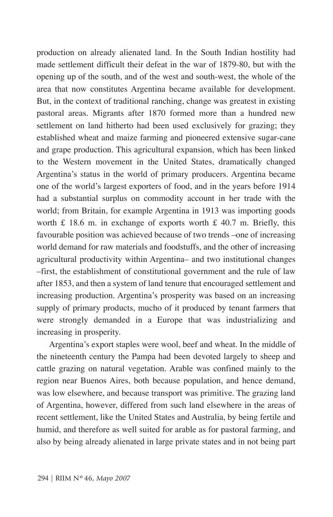production on already alienated land. In the South Indian hostility had made settlement difficult their defeat in the war of 1879-80, but with the opening up of the south, and of the west and south-west, the whole of the area that now constitutes Argentina became available for development. But, in the context of traditional ranching, change was greatest in existing pastoral areas. Migrants after 1870 formed more than a hundred new settlement on land hitherto had been used exclusively for grazing; they established wheat and maize farming and pioneered extensive sugar-cane and grape production. This agricultural expansion, which has been linked to the Western movement in the United States, dramatically changed Argentina's status in the world of primary producers. Argentina became one of the world's largest exporters of food, and in the years before 1914 had a substantial surplus on commodity account in her trade with the world; from Britain, for example Argentina in 1913 was importing goods worth £ 18.6 m. in exchange of exports worth £ 40.7 m. Briefly, this favourable position was achieved because of two trends –one of increasing world demand for raw materials and foodstuffs, and the other of increasing agricultural productivity within Argentina– and two institutional changes –first, the establishment of constitutional government and the rule of law after 1853, and then a system of land tenure that encouraged settlement and increasing production. Argentina's prosperity was based on an increasing supply of primary products, mucho of it produced by tenant farmers that were strongly demanded in a Europe that was industrializing and increasing in prosperity.

Argentina's export staples were wool, beef and wheat. In the middle of the nineteenth century the Pampa had been devoted largely to sheep and cattle grazing on natural vegetation. Arable was confined mainly to the region near Buenos Aires, both because population, and hence demand, was low elsewhere, and because transport was primitive. The grazing land of Argentina, however, differed from such land elsewhere in the areas of recent settlement, like the United States and Australia, by being fertile and humid, and therefore as well suited for arable as for pastoral farming, and also by being already alienated in large private states and in not being part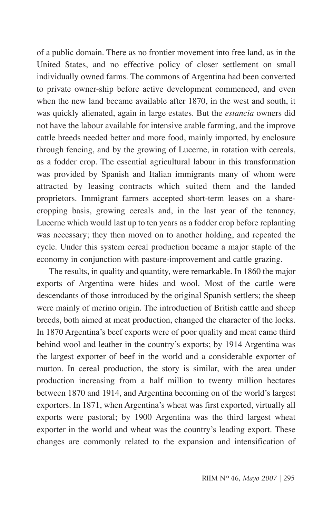of a public domain. There as no frontier movement into free land, as in the United States, and no effective policy of closer settlement on small individually owned farms. The commons of Argentina had been converted to private owner-ship before active development commenced, and even when the new land became available after 1870, in the west and south, it was quickly alienated, again in large estates. But the *estancia* owners did not have the labour available for intensive arable farming, and the improve cattle breeds needed better and more food, mainly imported, by enclosure through fencing, and by the growing of Lucerne, in rotation with cereals, as a fodder crop. The essential agricultural labour in this transformation was provided by Spanish and Italian immigrants many of whom were attracted by leasing contracts which suited them and the landed proprietors. Immigrant farmers accepted short-term leases on a sharecropping basis, growing cereals and, in the last year of the tenancy, Lucerne which would last up to ten years as a fodder crop before replanting was necessary; they then moved on to another holding, and repeated the cycle. Under this system cereal production became a major staple of the economy in conjunction with pasture-improvement and cattle grazing.

The results, in quality and quantity, were remarkable. In 1860 the major exports of Argentina were hides and wool. Most of the cattle were descendants of those introduced by the original Spanish settlers; the sheep were mainly of merino origin. The introduction of British cattle and sheep breeds, both aimed at meat production, changed the character of the locks. In 1870 Argentina's beef exports were of poor quality and meat came third behind wool and leather in the country's exports; by 1914 Argentina was the largest exporter of beef in the world and a considerable exporter of mutton. In cereal production, the story is similar, with the area under production increasing from a half million to twenty million hectares between 1870 and 1914, and Argentina becoming on of the world's largest exporters. In 1871, when Argentina's wheat was first exported, virtually all exports were pastoral; by 1900 Argentina was the third largest wheat exporter in the world and wheat was the country's leading export. These changes are commonly related to the expansion and intensification of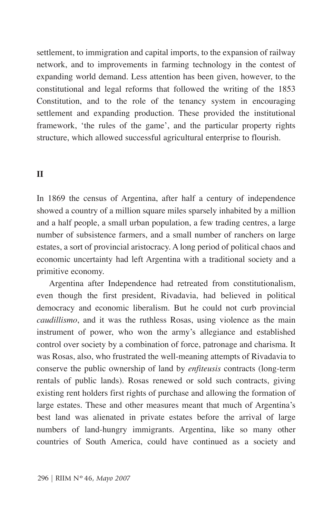settlement, to immigration and capital imports, to the expansion of railway network, and to improvements in farming technology in the contest of expanding world demand. Less attention has been given, however, to the constitutional and legal reforms that followed the writing of the 1853 Constitution, and to the role of the tenancy system in encouraging settlement and expanding production. These provided the institutional framework, 'the rules of the game', and the particular property rights structure, which allowed successful agricultural enterprise to flourish.

### **II**

In 1869 the census of Argentina, after half a century of independence showed a country of a million square miles sparsely inhabited by a million and a half people, a small urban population, a few trading centres, a large number of subsistence farmers, and a small number of ranchers on large estates, a sort of provincial aristocracy. A long period of political chaos and economic uncertainty had left Argentina with a traditional society and a primitive economy.

Argentina after Independence had retreated from constitutionalism, even though the first president, Rivadavia, had believed in political democracy and economic liberalism. But he could not curb provincial *caudillismo*, and it was the ruthless Rosas, using violence as the main instrument of power, who won the army's allegiance and established control over society by a combination of force, patronage and charisma. It was Rosas, also, who frustrated the well-meaning attempts of Rivadavia to conserve the public ownership of land by *enfiteusis* contracts (long-term rentals of public lands). Rosas renewed or sold such contracts, giving existing rent holders first rights of purchase and allowing the formation of large estates. These and other measures meant that much of Argentina's best land was alienated in private estates before the arrival of large numbers of land-hungry immigrants. Argentina, like so many other countries of South America, could have continued as a society and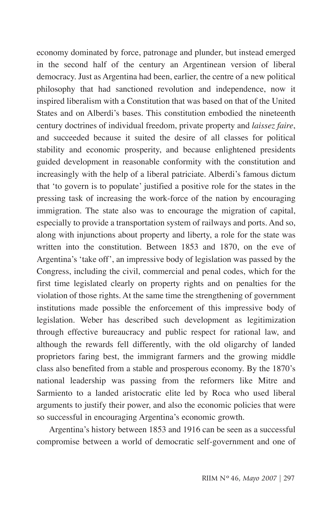economy dominated by force, patronage and plunder, but instead emerged in the second half of the century an Argentinean version of liberal democracy. Just as Argentina had been, earlier, the centre of a new political philosophy that had sanctioned revolution and independence, now it inspired liberalism with a Constitution that was based on that of the United States and on Alberdi's bases. This constitution embodied the nineteenth century doctrines of individual freedom, private property and *laissez faire*, and succeeded because it suited the desire of all classes for political stability and economic prosperity, and because enlightened presidents guided development in reasonable conformity with the constitution and increasingly with the help of a liberal patriciate. Alberdi's famous dictum that 'to govern is to populate' justified a positive role for the states in the pressing task of increasing the work-force of the nation by encouraging immigration. The state also was to encourage the migration of capital, especially to provide a transportation system of railways and ports. And so, along with injunctions about property and liberty, a role for the state was written into the constitution. Between 1853 and 1870, on the eve of Argentina's 'take off', an impressive body of legislation was passed by the Congress, including the civil, commercial and penal codes, which for the first time legislated clearly on property rights and on penalties for the violation of those rights. At the same time the strengthening of government institutions made possible the enforcement of this impressive body of legislation. Weber has described such development as legitimization through effective bureaucracy and public respect for rational law, and although the rewards fell differently, with the old oligarchy of landed proprietors faring best, the immigrant farmers and the growing middle class also benefited from a stable and prosperous economy. By the 1870's national leadership was passing from the reformers like Mitre and Sarmiento to a landed aristocratic elite led by Roca who used liberal arguments to justify their power, and also the economic policies that were so successful in encouraging Argentina's economic growth.

Argentina's history between 1853 and 1916 can be seen as a successful compromise between a world of democratic self-government and one of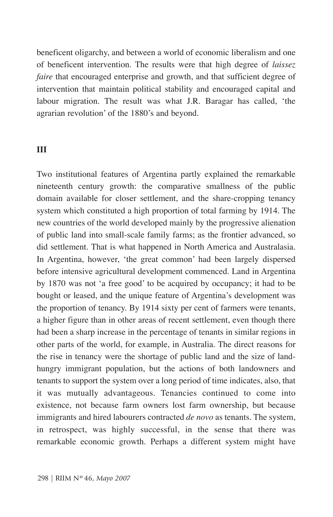beneficent oligarchy, and between a world of economic liberalism and one of beneficent intervention. The results were that high degree of *laissez faire* that encouraged enterprise and growth, and that sufficient degree of intervention that maintain political stability and encouraged capital and labour migration. The result was what J.R. Baragar has called, 'the agrarian revolution' of the 1880's and beyond.

### **III**

Two institutional features of Argentina partly explained the remarkable nineteenth century growth: the comparative smallness of the public domain available for closer settlement, and the share-cropping tenancy system which constituted a high proportion of total farming by 1914. The new countries of the world developed mainly by the progressive alienation of public land into small-scale family farms; as the frontier advanced, so did settlement. That is what happened in North America and Australasia. In Argentina, however, 'the great common' had been largely dispersed before intensive agricultural development commenced. Land in Argentina by 1870 was not 'a free good' to be acquired by occupancy; it had to be bought or leased, and the unique feature of Argentina's development was the proportion of tenancy. By 1914 sixty per cent of farmers were tenants, a higher figure than in other areas of recent settlement, even though there had been a sharp increase in the percentage of tenants in similar regions in other parts of the world, for example, in Australia. The direct reasons for the rise in tenancy were the shortage of public land and the size of landhungry immigrant population, but the actions of both landowners and tenants to support the system over a long period of time indicates, also, that it was mutually advantageous. Tenancies continued to come into existence, not because farm owners lost farm ownership, but because immigrants and hired labourers contracted *de novo* as tenants. The system, in retrospect, was highly successful, in the sense that there was remarkable economic growth. Perhaps a different system might have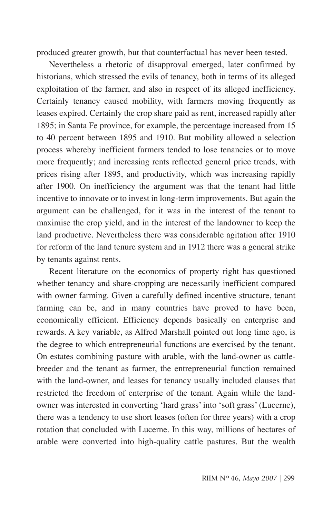produced greater growth, but that counterfactual has never been tested.

Nevertheless a rhetoric of disapproval emerged, later confirmed by historians, which stressed the evils of tenancy, both in terms of its alleged exploitation of the farmer, and also in respect of its alleged inefficiency. Certainly tenancy caused mobility, with farmers moving frequently as leases expired. Certainly the crop share paid as rent, increased rapidly after 1895; in Santa Fe province, for example, the percentage increased from 15 to 40 percent between 1895 and 1910. But mobility allowed a selection process whereby inefficient farmers tended to lose tenancies or to move more frequently; and increasing rents reflected general price trends, with prices rising after 1895, and productivity, which was increasing rapidly after 1900. On inefficiency the argument was that the tenant had little incentive to innovate or to invest in long-term improvements. But again the argument can be challenged, for it was in the interest of the tenant to maximise the crop yield, and in the interest of the landowner to keep the land productive. Nevertheless there was considerable agitation after 1910 for reform of the land tenure system and in 1912 there was a general strike by tenants against rents.

Recent literature on the economics of property right has questioned whether tenancy and share-cropping are necessarily inefficient compared with owner farming. Given a carefully defined incentive structure, tenant farming can be, and in many countries have proved to have been, economically efficient. Efficiency depends basically on enterprise and rewards. A key variable, as Alfred Marshall pointed out long time ago, is the degree to which entrepreneurial functions are exercised by the tenant. On estates combining pasture with arable, with the land-owner as cattlebreeder and the tenant as farmer, the entrepreneurial function remained with the land-owner, and leases for tenancy usually included clauses that restricted the freedom of enterprise of the tenant. Again while the landowner was interested in converting 'hard grass' into 'soft grass' (Lucerne), there was a tendency to use short leases (often for three years) with a crop rotation that concluded with Lucerne. In this way, millions of hectares of arable were converted into high-quality cattle pastures. But the wealth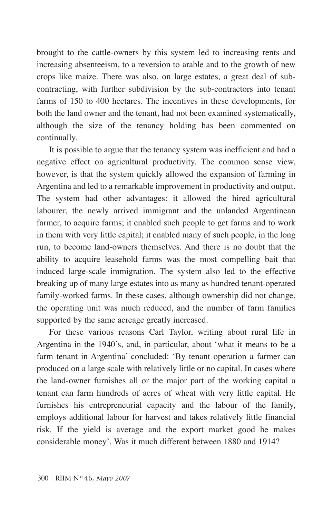brought to the cattle-owners by this system led to increasing rents and increasing absenteeism, to a reversion to arable and to the growth of new crops like maize. There was also, on large estates, a great deal of subcontracting, with further subdivision by the sub-contractors into tenant farms of 150 to 400 hectares. The incentives in these developments, for both the land owner and the tenant, had not been examined systematically, although the size of the tenancy holding has been commented on continually.

It is possible to argue that the tenancy system was inefficient and had a negative effect on agricultural productivity. The common sense view, however, is that the system quickly allowed the expansion of farming in Argentina and led to a remarkable improvement in productivity and output. The system had other advantages: it allowed the hired agricultural labourer, the newly arrived immigrant and the unlanded Argentinean farmer, to acquire farms; it enabled such people to get farms and to work in them with very little capital; it enabled many of such people, in the long run, to become land-owners themselves. And there is no doubt that the ability to acquire leasehold farms was the most compelling bait that induced large-scale immigration. The system also led to the effective breaking up of many large estates into as many as hundred tenant-operated family-worked farms. In these cases, although ownership did not change, the operating unit was much reduced, and the number of farm families supported by the same acreage greatly increased.

For these various reasons Carl Taylor, writing about rural life in Argentina in the 1940's, and, in particular, about 'what it means to be a farm tenant in Argentina' concluded: 'By tenant operation a farmer can produced on a large scale with relatively little or no capital. In cases where the land-owner furnishes all or the major part of the working capital a tenant can farm hundreds of acres of wheat with very little capital. He furnishes his entrepreneurial capacity and the labour of the family, employs additional labour for harvest and takes relatively little financial risk. If the yield is average and the export market good he makes considerable money'. Was it much different between 1880 and 1914?